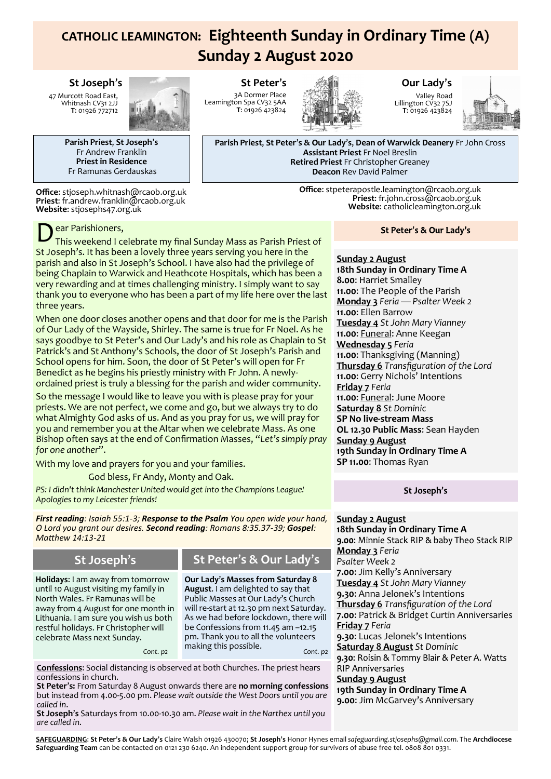# **CATHOLIC LEAMINGTON: Eighteenth Sunday in Ordinary Time (A) Sunday 2 August 2020**

#### **St Joseph**'**s**

47 Murcott Road East, Whitnash CV31 2JJ **T**: 01926 772712



**Parish Priest**, **St Joseph**'**s** Fr Andrew Franklin **Priest in Residence** Fr Ramunas Gerdauskas

**Office**: stjoseph.whitnash@rcaob.org.uk **Priest**: fr.andrew.franklin@rcaob.org.uk **Website**: stjosephs47.org.uk

ear Parishioners,

D This weekend I celebrate my final Sunday Mass as Parish Priest of St Joseph's. It has been a lovely three years serving you here in the parish and also in St Joseph's School. I have also had the privilege of being Chaplain to Warwick and Heathcote Hospitals, which has been a very rewarding and at times challenging ministry. I simply want to say thank you to everyone who has been a part of my life here over the last three years.

When one door closes another opens and that door for me is the Parish of Our Lady of the Wayside, Shirley. The same is true for Fr Noel. As he says goodbye to St Peter's and Our Lady's and his role as Chaplain to St Patrick's and St Anthony's Schools, the door of St Joseph's Parish and School opens for him. Soon, the door of St Peter's will open for Fr Benedict as he begins his priestly ministry with Fr John. A newlyordained priest is truly a blessing for the parish and wider community.

So the message I would like to leave you with is please pray for your priests. We are not perfect, we come and go, but we always try to do what Almighty God asks of us. And as you pray for us, we will pray for you and remember you at the Altar when we celebrate Mass. As one Bishop often says at the end of Confirmation Masses, "*Let's simply pray for one another*".

With my love and prayers for you and your families.

God bless, Fr Andy, Monty and Oak.

*PS: I didn't think Manchester United would get into the Champions League! Apologies to my Leicester friends!*

*First reading: Isaiah 55:1-3; Response to the Psalm You open wide your hand, O Lord you grant our desires. Second reading: Romans 8:35.37-39; Gospel: Matthew 14:13-21*

**Holidays**: I am away from tomorrow until 10 August visiting my family in North Wales. Fr Ramunas will be

restful holidays. Fr Christopher will celebrate Mass next Sunday.

# **St Joseph**'**s St Peter**'**s & Our Lady**'**s**

away from 4 August for one month in Lithuania. I am sure you wish us both **Our Lady**'**s Masses from Saturday 8 August**. I am delighted to say that Public Masses at Our Lady's Church will re-start at 12.30 pm next Saturday. As we had before lockdown, there will be Confessions from 11.45 am –12.15 pm. Thank you to all the volunteers making this possible. *Cont. p2 Cont. p2*

**Confessions**: Social distancing is observed at both Churches. The priest hears confessions in church.

**St Peter**'**s:** From Saturday 8 August onwards there are **no morning confessions**  but instead from 4.00-5.00 pm. *Please wait outside the West Doors until you are called in*.

**St Joseph**'**s** Saturdays from 10.00-10.30 am. *Please wait in the Narthex until you are called in*.

**St Peter**'**s** 3A Dormer Place Leamington Spa CV32 5AA **T**: 01926 423824



**Our Lady**'**s**

Valley Road Lillington CV32 7SJ **T**: 01926 423824



**Parish Priest**, **St Peter**'**s & Our Lady**'**s**, **Dean of Warwick Deanery** Fr John Cross **Assistant Priest** Fr Noel Breslin **Retired Priest** Fr Christopher Greaney **Deacon** Rev David Palmer

> **Office**: stpeterapostle.leamington@rcaob.org.uk **Priest**: fr.john.cross@rcaob.org.uk **Website**: catholicleamington.org.uk

### St Peter's & Our Lady's

**Sunday 2 August 18th Sunday in Ordinary Time A 8.00**: Harriet Smalley **11.00**: The People of the Parish **Monday 3** *Feria — Psalter Week 2* **11.00**: Ellen Barrow **Tuesday 4** *St John Mary Vianney* **11.00**: Funeral: Anne Keegan **Wednesday 5** *Feria* **11.00**: Thanksgiving (Manning) **Thursday 6** *Transfiguration of the Lord* **11.00**: Gerry Nichols' Intentions **Friday 7** *Feria* **11.00**: Funeral: June Moore **Saturday 8** *St Dominic* **SP No live-stream Mass OL 12.30 Public Mass**: Sean Hayden **Sunday 9 August 19th Sunday in Ordinary Time A SP 11.00**: Thomas Ryan

### St Joseph's

### **Sunday 2 August**

**18th Sunday in Ordinary Time A Monday 3** *Feria Psalter Week 2* **7.00**: Jim Kelly's Anniversary **Tuesday 4** *St John Mary Vianney* **9.30**: Anna Jelonek's Intentions **Thursday 6** *Transfiguration of the Lord* **7.00**: Patrick & Bridget Curtin Anniversaries **Friday 7** *Feria* **9.30**: Lucas Jelonek's Intentions **Saturday 8 August** *St Dominic* **RIP Anniversaries Sunday 9 August 19th Sunday in Ordinary Time A 9.00**: Jim McGarvey's Anniversary

**SAFEGUARDING**: **St Peter**'**s & Our Lady**'**s** Claire Walsh 01926 430070; **St Joseph**'**s** Honor Hynes email *safeguarding.stjosephs@gmail.com.* The **Archdiocese Safeguarding Team** can be contacted on 0121 230 6240. An independent support group for survivors of abuse free tel. 0808 801 0331.